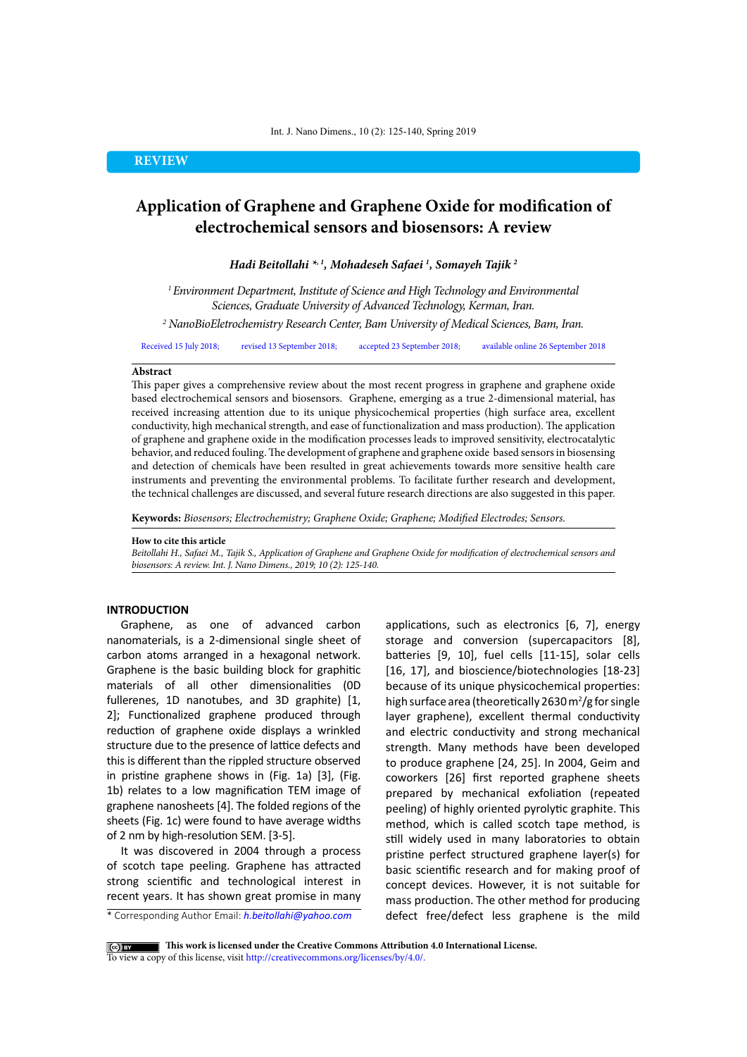# **REVIEW**

# **Application of Graphene and Graphene Oxide for modification of electrochemical sensors and biosensors: A review**

*Hadi Beitollahi \*, 1, Mohadeseh Safaei 1 , Somayeh Tajik 2*

*1 Environment Department, Institute of Science and High Technology and Environmental Sciences, Graduate University of Advanced Technology, Kerman, Iran.*

*2 NanoBioEletrochemistry Research Center, Bam University of Medical Sciences, Bam, Iran.*

Received 15 July 2018; revised 13 September 2018; accepted 23 September 2018; available online 26 September 2018

#### **Abstract**

This paper gives a comprehensive review about the most recent progress in graphene and graphene oxide based electrochemical sensors and biosensors. Graphene, emerging as a true 2-dimensional material, has received increasing attention due to its unique physicochemical properties (high surface area, excellent conductivity, high mechanical strength, and ease of functionalization and mass production). The application of graphene and graphene oxide in the modification processes leads to improved sensitivity, electrocatalytic behavior, and reduced fouling. The development of graphene and graphene oxide based sensors in biosensing and detection of chemicals have been resulted in great achievements towards more sensitive health care instruments and preventing the environmental problems. To facilitate further research and development, the technical challenges are discussed, and several future research directions are also suggested in this paper.

**Keywords:** *Biosensors; Electrochemistry; Graphene Oxide; Graphene; Modified Electrodes; Sensors.*

#### **How to cite this article**

*Beitollahi H., Safaei M., Tajik S., Application of Graphene and Graphene Oxide for modification of electrochemical sensors and biosensors: A review. Int. J. Nano Dimens., 2019; 10 (2): 125-140.* 

# **INTRODUCTION**

Graphene, as one of advanced carbon nanomaterials, is a 2-dimensional single sheet of carbon atoms arranged in a hexagonal network. Graphene is the basic building block for graphitic materials of all other dimensionalities (0D fullerenes, 1D nanotubes, and 3D graphite) [1, 2]; Functionalized graphene produced through reduction of graphene oxide displays a wrinkled structure due to the presence of lattice defects and this is different than the rippled structure observed in pristine graphene shows in (Fig. 1a) [3], (Fig. 1b) relates to a low magnification TEM image of graphene nanosheets [4]. The folded regions of the sheets (Fig. 1c) were found to have average widths of 2 nm by high-resolution SEM. [3-5].

It was discovered in 2004 through a process of scotch tape peeling. Graphene has attracted strong scientific and technological interest in recent years. It has shown great promise in many

\* Corresponding Author Email: *h.beitollahi@yahoo.com*

applications, such as electronics [6, 7], energy storage and conversion (supercapacitors [8], batteries [9, 10], fuel cells [11-15], solar cells [16, 17], and bioscience/biotechnologies [18-23] because of its unique physicochemical properties: high surface area (theoretically 2630  $m^2/g$  for single layer graphene), excellent thermal conductivity and electric conductivity and strong mechanical strength. Many methods have been developed to produce graphene [24, 25]. In 2004, Geim and coworkers [26] first reported graphene sheets prepared by mechanical exfoliation (repeated peeling) of highly oriented pyrolytic graphite. This method, which is called scotch tape method, is still widely used in many laboratories to obtain pristine perfect structured graphene layer(s) for basic scientific research and for making proof of concept devices. However, it is not suitable for mass production. The other method for producing defect free/defect less graphene is the mild

**This work is licensed under the Creative Commons Attribution 4.0 International License.** To view a copy of this license, visit<http://creativecommons.org/licenses/by/4.0/.>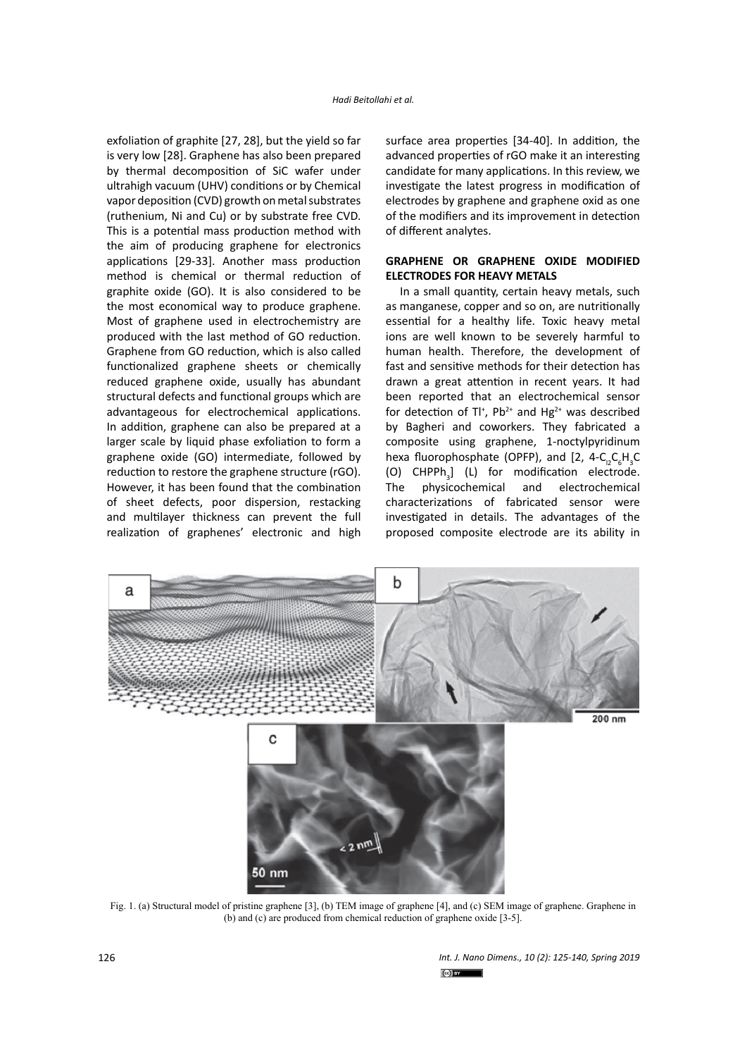exfoliation of graphite [27, 28], but the yield so far is very low [28]. Graphene has also been prepared by thermal decomposition of SiC wafer under ultrahigh vacuum (UHV) conditions or by Chemical vapor deposition (CVD) growth on metal substrates (ruthenium, Ni and Cu) or by substrate free CVD. This is a potential mass production method with the aim of producing graphene for electronics applications [29-33]. Another mass production method is chemical or thermal reduction of graphite oxide (GO). It is also considered to be the most economical way to produce graphene. Most of graphene used in electrochemistry are produced with the last method of GO reduction. Graphene from GO reduction, which is also called functionalized graphene sheets or chemically reduced graphene oxide, usually has abundant structural defects and functional groups which are advantageous for electrochemical applications. In addition, graphene can also be prepared at a larger scale by liquid phase exfoliation to form a graphene oxide (GO) intermediate, followed by reduction to restore the graphene structure (rGO). However, it has been found that the combination of sheet defects, poor dispersion, restacking and multilayer thickness can prevent the full realization of graphenes' electronic and high

surface area properties [34-40]. In addition, the advanced properties of rGO make it an interesting candidate for many applications. In this review, we investigate the latest progress in modification of electrodes by graphene and graphene oxid as one of the modifiers and its improvement in detection of different analytes.

#### **GRAPHENE OR GRAPHENE OXIDE MODIFIED ELECTRODES FOR HEAVY METALS**

In a small quantity, certain heavy metals, such as manganese, copper and so on, are nutritionally essential for a healthy life. Toxic heavy metal ions are well known to be severely harmful to human health. Therefore, the development of fast and sensitive methods for their detection has drawn a great attention in recent years. It had been reported that an electrochemical sensor for detection of Tl<sup>+</sup>, Pb<sup>2+</sup> and Hg<sup>2+</sup> was described by Bagheri and coworkers. They fabricated a composite using graphene, 1-noctylpyridinum hexa fluorophosphate (OPFP), and [2,  $4-C_{12}C_{6}H_{3}C$ (O)  $CHPPh_3$ ] (L) for modification electrode. The physicochemical and electrochemical characterizations of fabricated sensor were investigated in details. The advantages of the proposed composite electrode are its ability in



Fig. 1. (a) Structural model of pristine graphene [3], (b) TEM image of graphene [4], and (c) SEM image of graphene. Graphene in (b) and (c) are produced from chemical reduction of graphene oxide [3-5].

*Int. J. Nano Dimens., 10 (2): 125-140, Spring 2019*  $\mathbb{S}$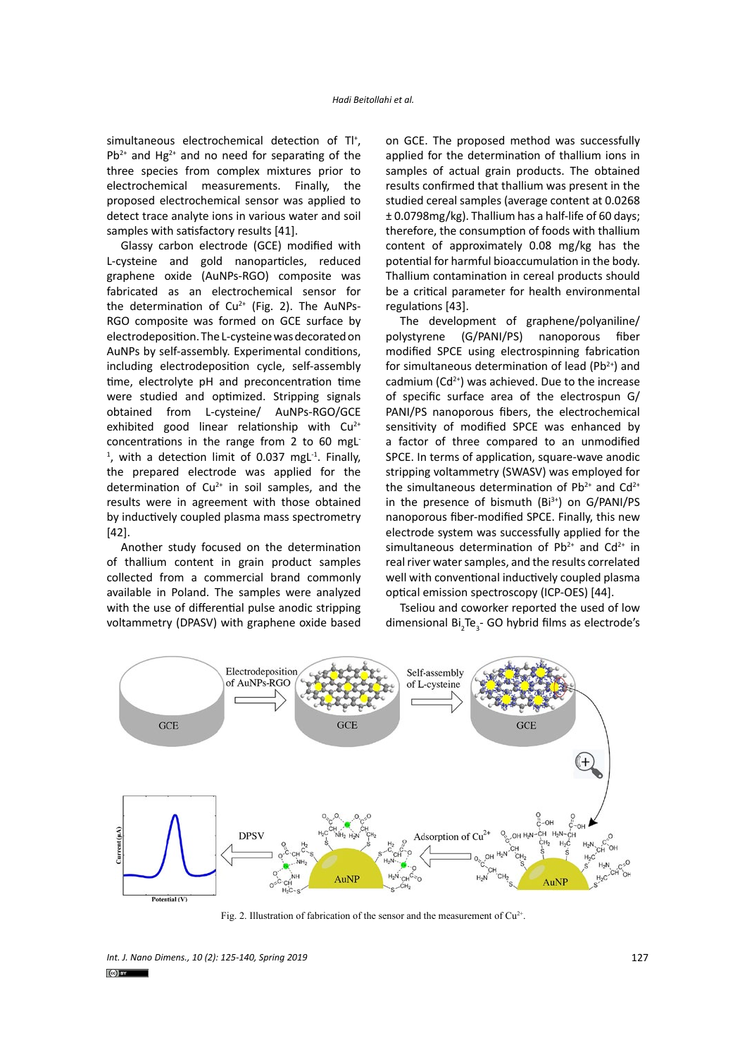simultaneous electrochemical detection of Tl<sup>+</sup>,  $Pb^{2+}$  and Hg<sup>2+</sup> and no need for separating of the three species from complex mixtures prior to electrochemical measurements. Finally, the proposed electrochemical sensor was applied to detect trace analyte ions in various water and soil samples with satisfactory results [41].

Glassy carbon electrode (GCE) modified with L-cysteine and gold nanoparticles, reduced graphene oxide (AuNPs-RGO) composite was fabricated as an electrochemical sensor for the determination of  $Cu^{2+}$  (Fig. 2). The AuNPs-RGO composite was formed on GCE surface by electrodeposition. The L-cysteine was decorated on AuNPs by self-assembly. Experimental conditions, including electrodeposition cycle, self-assembly time, electrolyte pH and preconcentration time were studied and optimized. Stripping signals obtained from L-cysteine/ AuNPs-RGO/GCE exhibited good linear relationship with  $Cu^{2+}$ concentrations in the range from 2 to 60 mgL- $<sup>1</sup>$ , with a detection limit of 0.037 mgL $<sup>1</sup>$ . Finally,</sup></sup> the prepared electrode was applied for the determination of  $Cu^{2+}$  in soil samples, and the results were in agreement with those obtained by inductively coupled plasma mass spectrometry [42].

Another study focused on the determination of thallium content in grain product samples collected from a commercial brand commonly available in Poland. The samples were analyzed with the use of differential pulse anodic stripping voltammetry (DPASV) with graphene oxide based on GCE. The proposed method was successfully applied for the determination of thallium ions in samples of actual grain products. The obtained results confirmed that thallium was present in the studied cereal samples (average content at 0.0268 ± 0.0798mg/kg). Thallium has a half-life of 60 days; therefore, the consumption of foods with thallium content of approximately 0.08 mg/kg has the potential for harmful bioaccumulation in the body. Thallium contamination in cereal products should be a critical parameter for health environmental regulations [43].

The development of graphene/polyaniline/ polystyrene (G/PANI/PS) nanoporous fiber modified SPCE using electrospinning fabrication for simultaneous determination of lead ( $Pb^{2+}$ ) and cadmium ( $Cd^{2+}$ ) was achieved. Due to the increase of specific surface area of the electrospun G/ PANI/PS nanoporous fibers, the electrochemical sensitivity of modified SPCE was enhanced by a factor of three compared to an unmodified SPCE. In terms of application, square-wave anodic stripping voltammetry (SWASV) was employed for the simultaneous determination of  $Pb^{2+}$  and  $Cd^{2+}$ in the presence of bismuth  $(Bi^{3+})$  on  $G/PANI/PS$ nanoporous fiber-modified SPCE. Finally, this new electrode system was successfully applied for the simultaneous determination of  $Pb^{2+}$  and  $Cd^{2+}$  in real river water samples, and the results correlated well with conventional inductively coupled plasma optical emission spectroscopy (ICP-OES) [44].

Tseliou and coworker reported the used of low dimensional  $Bi_2Te_3$ - GO hybrid films as electrode's



Fig. 2. Illustration of fabrication of the sensor and the measurement of  $Cu^{2+}$ .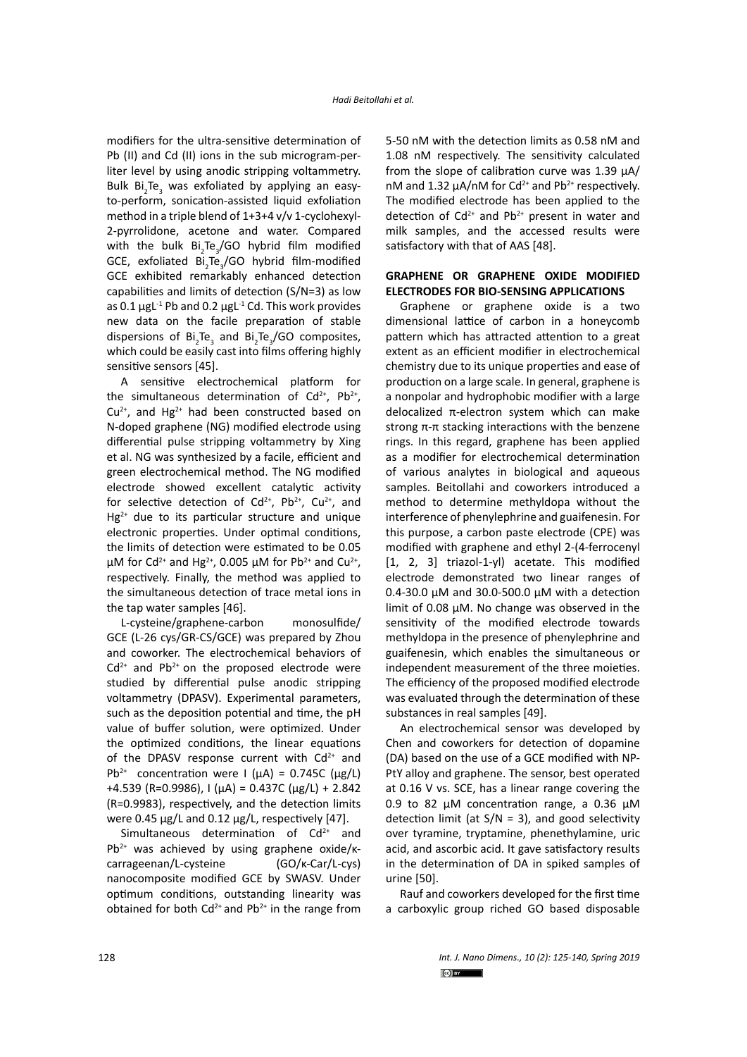modifiers for the ultra-sensitive determination of Pb (II) and Cd (II) ions in the sub microgram-perliter level by using anodic stripping voltammetry. Bulk Bi<sub>2</sub>Te<sub>3</sub> was exfoliated by applying an easyto-perform, sonication-assisted liquid exfoliation method in a triple blend of 1+3+4 v/v 1-cyclohexyl-2-pyrrolidone, acetone and water. Compared with the bulk  $Bi_{2}Te_{3}/GO$  hybrid film modified GCE, exfoliated  $Bi_2Te_3/GO$  hybrid film-modified GCE exhibited remarkably enhanced detection capabilities and limits of detection (S/N=3) as low as 0.1  $\mu$ gL<sup>-1</sup> Pb and 0.2  $\mu$ gL<sup>-1</sup> Cd. This work provides new data on the facile preparation of stable dispersions of  $Bi_2Te_3$  and  $Bi_2Te_3/GO$  composites, which could be easily cast into films offering highly sensitive sensors [45].

A sensitive electrochemical platform for the simultaneous determination of  $Cd^{2+}$ , Pb<sup>2+</sup>,  $Cu<sup>2+</sup>$ , and Hg<sup>2+</sup> had been constructed based on N-doped graphene (NG) modified electrode using differential pulse stripping voltammetry by Xing et al. NG was synthesized by a facile, efficient and green electrochemical method. The NG modified electrode showed excellent catalytic activity for selective detection of  $Cd^{2+}$ ,  $Pb^{2+}$ ,  $Cu^{2+}$ , and  $Hg^{2+}$  due to its particular structure and unique electronic properties. Under optimal conditions, the limits of detection were estimated to be 0.05 μM for Cd<sup>2+</sup> and Hg<sup>2+</sup>, 0.005 μM for Pb<sup>2+</sup> and Cu<sup>2+</sup>, respectively. Finally, the method was applied to the simultaneous detection of trace metal ions in the tap water samples [46].

L-cysteine/graphene-carbon monosulfide/ GCE (L-26 cys/GR-CS/GCE) was prepared by Zhou and coworker. The electrochemical behaviors of  $Cd<sup>2+</sup>$  and Pb<sup>2+</sup> on the proposed electrode were studied by differential pulse anodic stripping voltammetry (DPASV). Experimental parameters, such as the deposition potential and time, the pH value of buffer solution, were optimized. Under the optimized conditions, the linear equations of the DPASV response current with  $Cd^{2+}$  and Pb<sup>2+</sup> concentration were I ( $\mu$ A) = 0.745C ( $\mu$ g/L)  $+4.539$  (R=0.9986), I (μA) = 0.437C (μg/L) + 2.842 (R=0.9983), respectively, and the detection limits were 0.45 μg/L and 0.12 μg/L, respectively [47].

Simultaneous determination of  $Cd<sup>2+</sup>$  and  $Pb^{2+}$  was achieved by using graphene oxide/kcarrageenan/L-cysteine (GO/ĸ-Car/L-cys) nanocomposite modified GCE by SWASV. Under optimum conditions, outstanding linearity was obtained for both  $Cd^{2+}$  and Pb<sup>2+</sup> in the range from 5-50 nM with the detection limits as 0.58 nM and 1.08 nM respectively. The sensitivity calculated from the slope of calibration curve was 1.39 μA/ nM and 1.32 μA/nM for Cd<sup>2+</sup> and Pb<sup>2+</sup> respectively. The modified electrode has been applied to the detection of  $Cd^{2+}$  and  $Pb^{2+}$  present in water and milk samples, and the accessed results were satisfactory with that of AAS [48].

#### **GRAPHENE OR GRAPHENE OXIDE MODIFIED ELECTRODES FOR BIO-SENSING APPLICATIONS**

Graphene or graphene oxide is a two dimensional lattice of carbon in a honeycomb pattern which has attracted attention to a great extent as an efficient modifier in electrochemical chemistry due to its unique properties and ease of production on a large scale. In general, graphene is a nonpolar and hydrophobic modifier with a large delocalized π-electron system which can make strong π-π stacking interactions with the benzene rings. In this regard, graphene has been applied as a modifier for electrochemical determination of various analytes in biological and aqueous samples. Beitollahi and coworkers introduced a method to determine methyldopa without the interference of phenylephrine and guaifenesin. For this purpose, a carbon paste electrode (CPE) was modified with graphene and ethyl 2-(4-ferrocenyl [1, 2, 3] triazol-1-yl) acetate. This modified electrode demonstrated two linear ranges of 0.4-30.0 μM and 30.0-500.0 μM with a detection limit of 0.08 μM. No change was observed in the sensitivity of the modified electrode towards methyldopa in the presence of phenylephrine and guaifenesin, which enables the simultaneous or independent measurement of the three moieties. The efficiency of the proposed modified electrode was evaluated through the determination of these substances in real samples [49].

An electrochemical sensor was developed by Chen and coworkers for detection of dopamine (DA) based on the use of a GCE modified with NP-PtY alloy and graphene. The sensor, best operated at 0.16 V vs. SCE, has a linear range covering the 0.9 to 82 μM concentration range, a 0.36 μM detection limit (at  $S/N = 3$ ), and good selectivity over tyramine, tryptamine, phenethylamine, uric acid, and ascorbic acid. It gave satisfactory results in the determination of DA in spiked samples of urine [50].

Rauf and coworkers developed for the first time a carboxylic group riched GO based disposable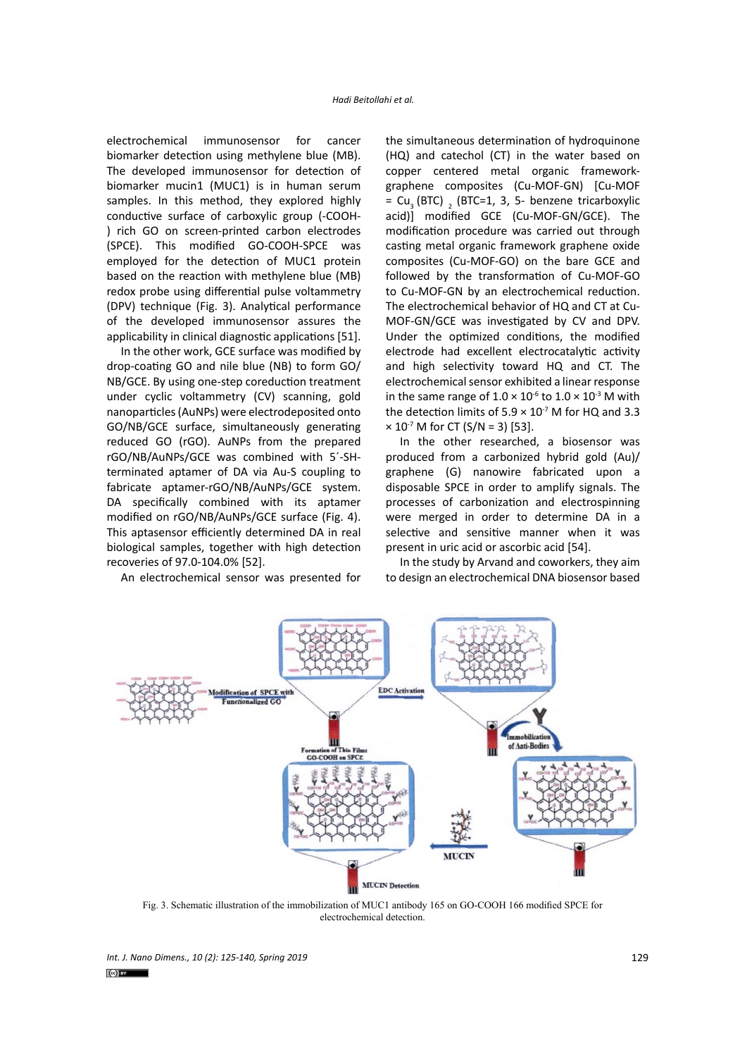electrochemical immunosensor for cancer biomarker detection using methylene blue (MB). The developed immunosensor for detection of biomarker mucin1 (MUC1) is in human serum samples. In this method, they explored highly conductive surface of carboxylic group (-COOH- ) rich GO on screen-printed carbon electrodes (SPCE). This modified GO-COOH-SPCE was employed for the detection of MUC1 protein based on the reaction with methylene blue (MB) redox probe using differential pulse voltammetry (DPV) technique (Fig. 3). Analytical performance of the developed immunosensor assures the applicability in clinical diagnostic applications [51].

In the other work, GCE surface was modified by drop-coating GO and nile blue (NB) to form GO/ NB/GCE. By using one-step coreduction treatment under cyclic voltammetry (CV) scanning, gold nanoparticles (AuNPs) were electrodeposited onto GO/NB/GCE surface, simultaneously generating reduced GO (rGO). AuNPs from the prepared rGO/NB/AuNPs/GCE was combined with 5´-SHterminated aptamer of DA via Au-S coupling to fabricate aptamer-rGO/NB/AuNPs/GCE system. DA specifically combined with its aptamer modified on rGO/NB/AuNPs/GCE surface (Fig. 4). This aptasensor efficiently determined DA in real biological samples, together with high detection recoveries of 97.0-104.0% [52].

An electrochemical sensor was presented for

the simultaneous determination of hydroquinone (HQ) and catechol (CT) in the water based on copper centered metal organic frameworkgraphene composites (Cu-MOF-GN) [Cu-MOF =  $Cu<sub>3</sub>$  (BTC)  $<sub>2</sub>$  (BTC=1, 3, 5- benzene tricarboxylic</sub> acid)] modified GCE (Cu-MOF-GN/GCE). The modification procedure was carried out through casting metal organic framework graphene oxide composites (Cu-MOF-GO) on the bare GCE and followed by the transformation of Cu-MOF-GO to Cu-MOF-GN by an electrochemical reduction. The electrochemical behavior of HQ and CT at Cu-MOF-GN/GCE was investigated by CV and DPV. Under the optimized conditions, the modified electrode had excellent electrocatalytic activity and high selectivity toward HQ and CT. The electrochemical sensor exhibited a linear response in the same range of  $1.0 \times 10^{-6}$  to  $1.0 \times 10^{-3}$  M with the detection limits of  $5.9 \times 10^{7}$  M for HQ and 3.3  $\times$  10<sup>-7</sup> M for CT (S/N = 3) [53].

In the other researched, a biosensor was produced from a carbonized hybrid gold (Au)/ graphene (G) nanowire fabricated upon a disposable SPCE in order to amplify signals. The processes of carbonization and electrospinning were merged in order to determine DA in a selective and sensitive manner when it was present in uric acid or ascorbic acid [54].

In the study by Arvand and coworkers, they aim to design an electrochemical DNA biosensor based



Fig. 3. Schematic illustration of the immobilization of MUC1 antibody 165 on GO-COOH 166 modified SPCE for electrochemical detection.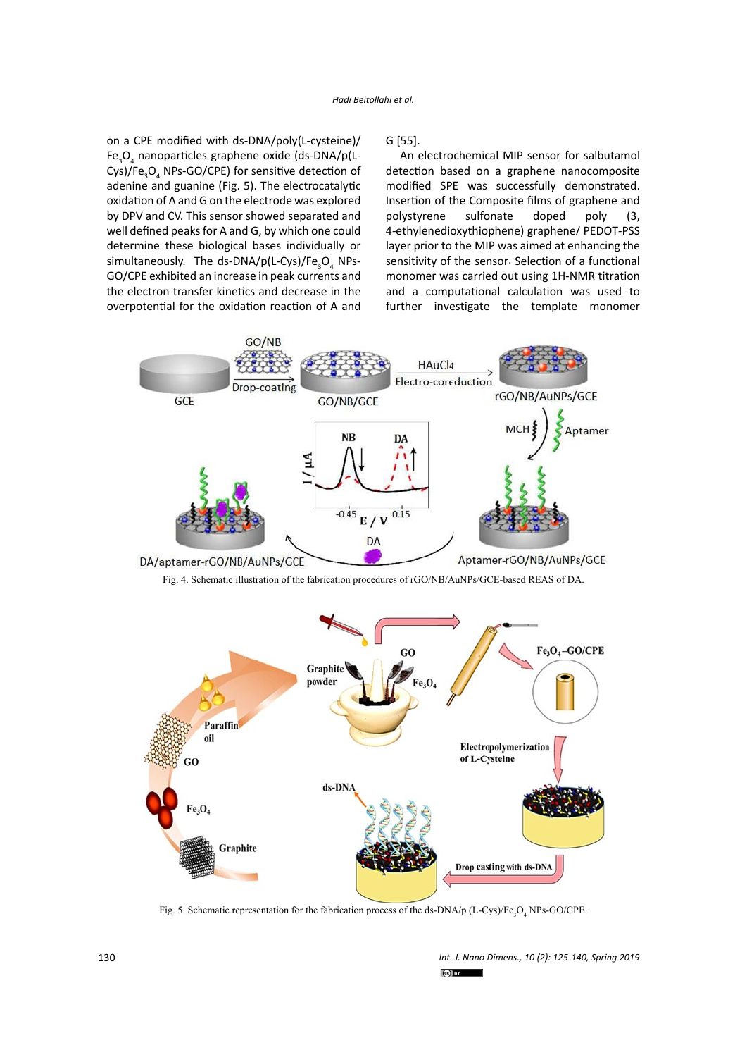on a CPE modified with ds-DNA/poly(L-cysteine)/ Fe<sub>3</sub>O<sub>4</sub> nanoparticles graphene oxide (ds-DNA/p(L-Cys)/Fe $_{3}$ O<sub>4</sub> NPs-GO/CPE) for sensitive detection of adenine and guanine (Fig. 5). The electrocatalytic oxidation of A and G on the electrode was explored by DPV and CV. This sensor showed separated and well defined peaks for A and G, by which one could determine these biological bases individually or simultaneously. The ds-DNA/p(L-Cys)/Fe<sub>3</sub>O<sub>4</sub> NPs-GO/CPE exhibited an increase in peak currents and the electron transfer kinetics and decrease in the overpotential for the oxidation reaction of A and

G [55].

An electrochemical MIP sensor for salbutamol detection based on a graphene nanocomposite modified SPE was successfully demonstrated. Insertion of the Composite films of [graphene](https://www.sciencedirect.com/topics/chemistry/graphene) and polystyrene sulfonate doped poly (3, 4-ethylenedioxythiophene) graphene/ PEDOT-PSS layer prior to the MIP was aimed at enhancing the sensitivity of the sensor. Selection of a functional monomer was carried out using 1H-NMR titration and a computational calculation was used to further investigate the template monomer



Fig. 4. Schematic illustration of the fabrication procedures of rGO/NB/AuNPs/GCE-based REAS of DA.



Fig. 5. Schematic representation for the fabrication process of the ds-DNA/p (L-Cys)/Fe<sub>3</sub>O<sub>4</sub> NPs-GO/CPE.

*Int. J. Nano Dimens., 10 (2): 125-140, Spring 2019*  $\omega$  of  $\omega$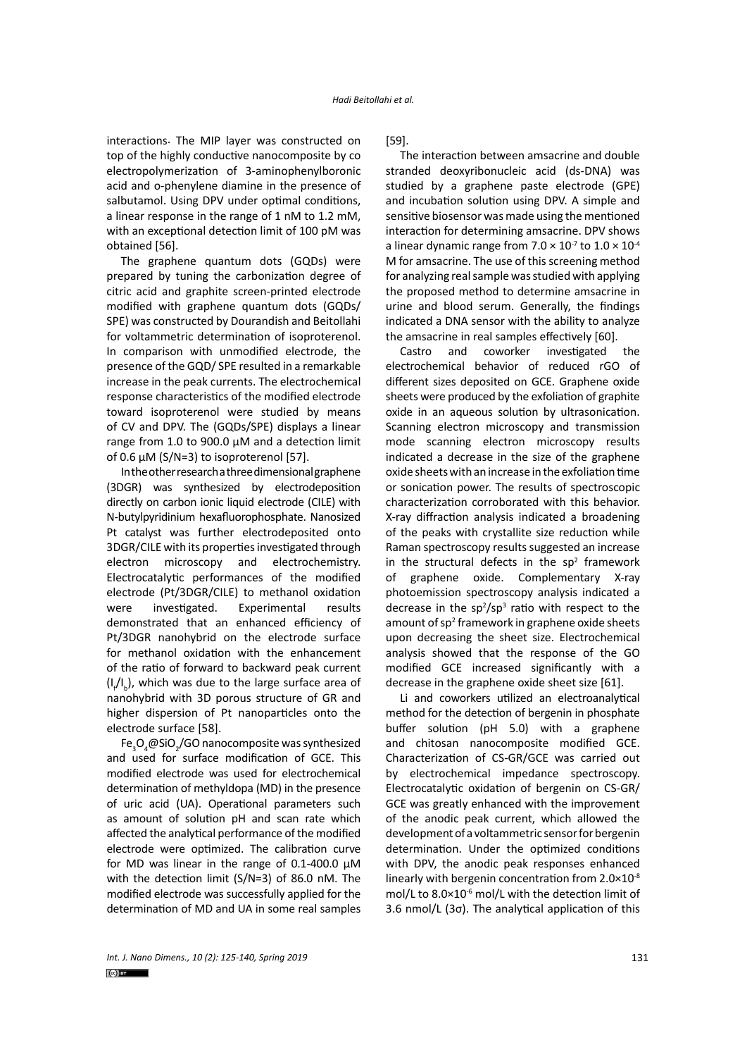interactions. The MIP layer was constructed on top of the highly conductive nanocomposite by co electropolymerization of 3-aminophenylboronic acid and o-phenylene diamine in the presence of salbutamol. Using DPV under optimal conditions, a linear response in the range of 1 nM to 1.2 mM, with an exceptional detection limit of 100 pM was obtained [56].

The graphene quantum dots (GQDs) were prepared by tuning the carbonization degree of citric acid and graphite screen-printed electrode modified with graphene quantum dots (GQDs/ SPE) was constructed by Dourandish and Beitollahi for voltammetric determination of isoproterenol. In comparison with unmodified electrode, the presence of the GQD/ SPE resulted in a remarkable increase in the peak currents. The electrochemical response characteristics of the modified electrode toward isoproterenol were studied by means of CV and DPV. The (GQDs/SPE) displays a linear range from 1.0 to 900.0 μM and a detection limit of 0.6  $\mu$ M (S/N=3) to isoproterenol [57].

In the other research a three dimensional graphene (3DGR) was synthesized by electrodeposition directly on carbon ionic liquid electrode (CILE) with N-butylpyridinium hexafluorophosphate. Nanosized Pt catalyst was further electrodeposited onto 3DGR/CILE with its properties investigated through electron microscopy and electrochemistry. Electrocatalytic performances of the modified electrode (Pt/3DGR/CILE) to methanol oxidation were investigated. Experimental results demonstrated that an enhanced efficiency of Pt/3DGR nanohybrid on the electrode surface for methanol oxidation with the enhancement of the ratio of forward to backward peak current  $(I_{\ell}/I_{\rm b})$ , which was due to the large surface area of nanohybrid with 3D porous structure of GR and higher dispersion of Pt nanoparticles onto the electrode surface [58].

Fe<sub>3</sub>O<sub>4</sub>@SiO<sub>2</sub>/GO nanocomposite was synthesized and used for surface modification of GCE. This modified electrode was used for electrochemical determination of methyldopa (MD) in the presence of uric acid (UA). Operational parameters such as amount of solution pH and scan rate which affected the analytical performance of the modified electrode were optimized. The calibration curve for MD was linear in the range of 0.1-400.0 μM with the detection limit (S/N=3) of 86.0 nM. The modified electrode was successfully applied for the determination of MD and UA in some real samples

[59].

The interaction between amsacrine and double stranded deoxyribonucleic acid (ds-DNA) was studied by a graphene paste electrode (GPE) and incubation solution using DPV. A simple and sensitive biosensor was made using the mentioned interaction for determining amsacrine. DPV shows a linear dynamic range from  $7.0 \times 10^{-7}$  to  $1.0 \times 10^{-4}$ M for amsacrine. The use of this screening method for analyzing real sample was studied with applying the proposed method to determine amsacrine in urine and blood serum. Generally, the findings indicated a DNA sensor with the ability to analyze the amsacrine in real samples effectively [60].

Castro and coworker investigated the electrochemical behavior of reduced rGO of different sizes deposited on GCE. Graphene oxide sheets were produced by the exfoliation of graphite oxide in an aqueous solution by ultrasonication. Scanning electron microscopy and transmission mode scanning electron microscopy results indicated a decrease in the size of the graphene oxide sheets with an increase in the exfoliation time or sonication power. The results of spectroscopic characterization corroborated with this behavior. X-ray diffraction analysis indicated a broadening of the peaks with crystallite size reduction while Raman spectroscopy results suggested an increase in the structural defects in the  $sp<sup>2</sup>$  framework of graphene oxide. Complementary X-ray photoemission spectroscopy analysis indicated a decrease in the  $sp^2/sp^3$  ratio with respect to the amount of sp<sup>2</sup> framework in graphene oxide sheets upon decreasing the sheet size. Electrochemical analysis showed that the response of the GO modified GCE increased significantly with a decrease in the graphene oxide sheet size [61].

Li and coworkers utilized an electroanalytical method for the detection of bergenin in phosphate buffer solution (pH 5.0) with a graphene and chitosan nanocomposite modified GCE. Characterization of CS-GR/GCE was carried out by electrochemical impedance spectroscopy. Electrocatalytic oxidation of bergenin on CS-GR/ GCE was greatly enhanced with the improvement of the anodic peak current, which allowed the development of a voltammetric sensor for bergenin determination. Under the optimized conditions with DPV, the anodic peak responses enhanced linearly with bergenin concentration from 2.0×10-8 mol/L to  $8.0 \times 10^{-6}$  mol/L with the detection limit of 3.6 nmol/L (3σ). The analytical application of this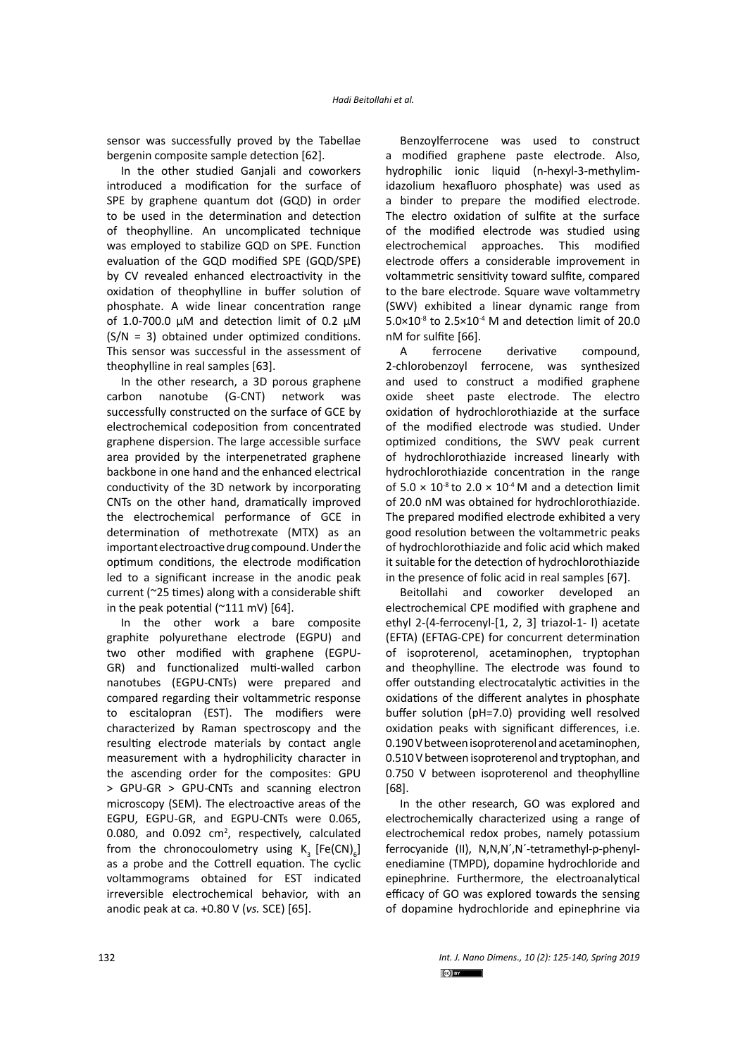sensor was successfully proved by the Tabellae bergenin composite sample detection [62].

In the other studied Ganjali and coworkers introduced a modification for the surface of SPE by graphene quantum dot (GQD) in order to be used in the determination and detection of theophylline. An uncomplicated technique was employed to stabilize GQD on SPE. Function evaluation of the GQD modified SPE (GQD/SPE) by CV revealed enhanced electroactivity in the oxidation of theophylline in buffer solution of phosphate. A wide linear concentration range of 1.0-700.0 μM and detection limit of 0.2 μM  $(S/N = 3)$  obtained under optimized conditions. This sensor was successful in the assessment of theophylline in real samples [63].

In the other research, a 3D porous graphene carbon nanotube (G-CNT) network was successfully constructed on the surface of GCE by electrochemical codeposition from concentrated graphene dispersion. The large accessible surface area provided by the interpenetrated graphene backbone in one hand and the enhanced electrical conductivity of the 3D network by incorporating CNTs on the other hand, dramatically improved the electrochemical performance of GCE in determination of methotrexate (MTX) as an important electroactive drug compound. Under the optimum conditions, the electrode modification led to a significant increase in the anodic peak current (~25 times) along with a considerable shift in the peak potential ( $^{\sim}$ 111 mV) [64].

In the other work a bare composite graphite polyurethane electrode (EGPU) and two other modified with graphene (EGPU-GR) and functionalized multi-walled carbon nanotubes (EGPU-CNTs) were prepared and compared regarding their voltammetric response to escitalopran (EST). The modifiers were characterized by Raman spectroscopy and the resulting electrode materials by contact angle measurement with a hydrophilicity character in the ascending order for the composites: GPU > GPU-GR > GPU-CNTs and scanning electron microscopy (SEM). The electroactive areas of the EGPU, EGPU-GR, and EGPU-CNTs were 0.065, 0.080, and  $0.092$  cm<sup>2</sup>, respectively, calculated from the chronocoulometry using  $K_{3}$  [Fe(CN)<sub>6</sub>] as a probe and the Cottrell equation. The cyclic voltammograms obtained for EST indicated irreversible electrochemical behavior, with an anodic peak at ca. +0.80 V (*νs.* SCE) [65].

Benzoylferrocene was used to construct a modified graphene paste electrode. Also, hydrophilic ionic liquid (n-hexyl-3-methylimidazolium hexafluoro phosphate) was used as a binder to prepare the modified electrode. The electro oxidation of sulfite at the surface of the modified electrode was studied using electrochemical approaches. This modified electrode offers a considerable improvement in voltammetric sensitivity toward sulfite, compared to the bare electrode. Square wave voltammetry (SWV) exhibited a linear dynamic range from  $5.0\times10^{8}$  to  $2.5\times10^{4}$  M and detection limit of 20.0 nM for sulfite [66].

A ferrocene derivative compound, 2-chlorobenzoyl ferrocene, was synthesized and used to construct a modified graphene oxide sheet paste electrode. The electro oxidation of hydrochlorothiazide at the surface of the modified electrode was studied. Under optimized conditions, the SWV peak current of hydrochlorothiazide increased linearly with hydrochlorothiazide concentration in the range of  $5.0 \times 10^{-8}$  to  $2.0 \times 10^{-4}$  M and a detection limit of 20.0 nM was obtained for hydrochlorothiazide. The prepared modified electrode exhibited a very good resolution between the voltammetric peaks of hydrochlorothiazide and folic acid which maked it suitable for the detection of hydrochlorothiazide in the presence of folic acid in real samples [67].

Beitollahi and coworker developed an electrochemical CPE modified with graphene and ethyl 2-(4-ferrocenyl-[1, 2, 3] triazol-1- l) acetate (EFTA) (EFTAG-CPE) for concurrent determination of isoproterenol, acetaminophen, tryptophan and theophylline. The electrode was found to offer outstanding electrocatalytic activities in the oxidations of the different analytes in phosphate buffer solution (pH=7.0) providing well resolved oxidation peaks with significant differences, i.e. 0.190 V between isoproterenol and acetaminophen, 0.510 V between isoproterenol and tryptophan, and 0.750 V between isoproterenol and theophylline [68].

In the other research, GO was explored and electrochemically characterized using a range of electrochemical redox probes, namely potassium ferrocyanide (II), N,N,N´,N´-tetramethyl-p-phenylenediamine (TMPD), dopamine hydrochloride and epinephrine. Furthermore, the electroanalytical efficacy of GO was explored towards the sensing of dopamine hydrochloride and epinephrine via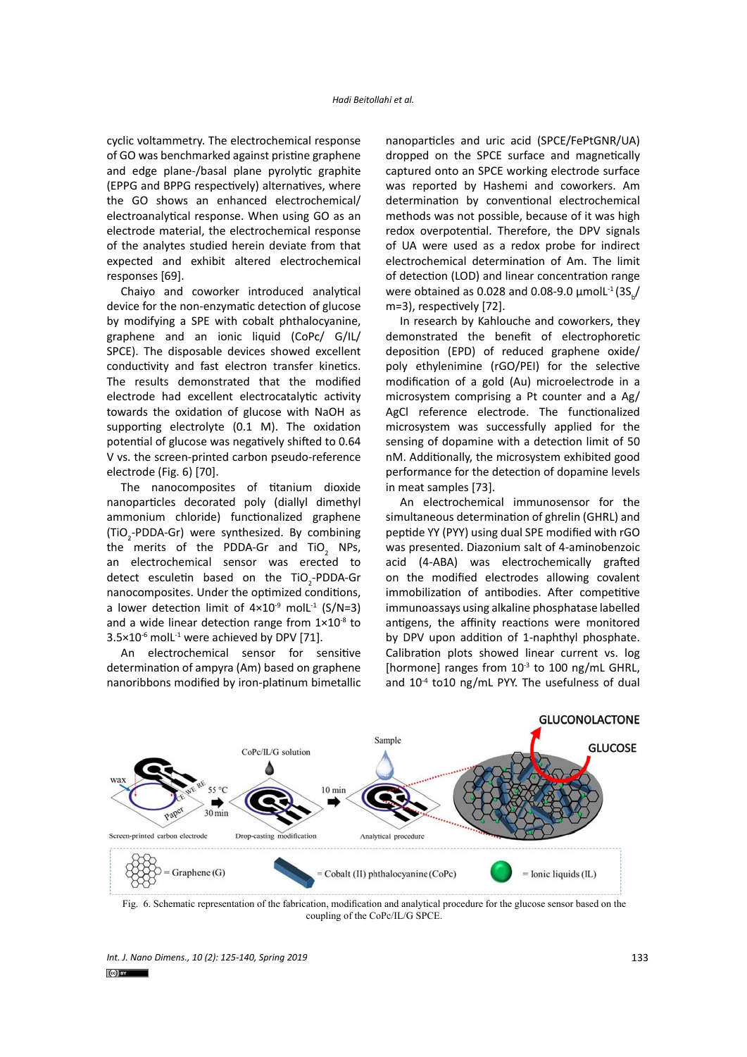cyclic voltammetry. The electrochemical response of GO was benchmarked against pristine graphene and edge plane-/basal plane pyrolytic graphite (EPPG and BPPG respectively) alternatives, where the GO shows an enhanced electrochemical/ electroanalytical response. When using GO as an electrode material, the electrochemical response of the analytes studied herein deviate from that expected and exhibit altered electrochemical responses [69].

Chaiyo and coworker introduced analytical device for the non-enzymatic detection of glucose by modifying a SPE with cobalt phthalocyanine, graphene and an ionic liquid (CoPc/ G/IL/ SPCE). The disposable devices showed excellent conductivity and fast electron transfer kinetics. The results demonstrated that the modified electrode had excellent electrocatalytic activity towards the oxidation of glucose with NaOH as supporting electrolyte (0.1 M). The oxidation potential of glucose was negatively shifted to 0.64 V vs. the screen-printed carbon pseudo-reference electrode (Fig. 6) [70].

The nanocomposites of titanium dioxide nanoparticles decorated poly (diallyl dimethyl ammonium chloride) functionalized graphene (TiO<sub>2</sub>-PDDA-Gr) were synthesized. By combining the merits of the PDDA-Gr and TiO<sub>2</sub> NPs, an electrochemical sensor was erected to detect esculetin based on the TiO<sub>2</sub>-PDDA-Gr nanocomposites. Under the optimized conditions, a lower detection limit of  $4 \times 10^{-9}$  molL<sup>-1</sup> (S/N=3) and a wide linear detection range from  $1\times10^{-8}$  to  $3.5\times10^{-6}$  moll<sup>-1</sup> were achieved by DPV [71].

An electrochemical sensor for sensitive determination of ampyra (Am) based on graphene nanoribbons modified by iron-platinum bimetallic nanoparticles and uric acid (SPCE/FePtGNR/UA) dropped on the SPCE surface and magnetically captured onto an SPCE working electrode surface was reported by Hashemi and coworkers. Am determination by conventional electrochemical methods was not possible, because of it was high redox overpotential. Therefore, the DPV signals of UA were used as a redox probe for indirect electrochemical determination of Am. The limit of detection (LOD) and linear concentration range were obtained as 0.028 and 0.08-9.0  $\mu$ molL<sup>-1</sup> (3S<sub>b</sub>/ m=3), respectively [72].

In research by Kahlouche and coworkers, they demonstrated the benefit of electrophoretic deposition (EPD) of reduced graphene oxide/ poly ethylenimine (rGO/PEI) for the selective modification of a gold (Au) microelectrode in a microsystem comprising a Pt counter and a Ag/ AgCl reference electrode. The functionalized microsystem was successfully applied for the sensing of dopamine with a detection limit of 50 nM. Additionally, the microsystem exhibited good performance for the detection of dopamine levels in meat samples [73].

An electrochemical immunosensor for the simultaneous determination of ghrelin (GHRL) and peptide YY (PYY) using dual SPE modified with rGO was presented. Diazonium salt of 4-aminobenzoic acid (4-ABA) was electrochemically grafted on the modified electrodes allowing covalent immobilization of antibodies. After competitive immunoassays using alkaline phosphatase labelled antigens, the affinity reactions were monitored by DPV upon addition of 1-naphthyl phosphate. Calibration plots showed linear current vs. log [hormone] ranges from  $10^{-3}$  to 100 ng/mL GHRL, and  $10^{-4}$  to10 ng/mL PYY. The usefulness of dual



Fig. 6. Schematic representation of the fabrication, modification and analytical procedure for the glucose sensor based on the coupling of the CoPc/IL/G SPCE.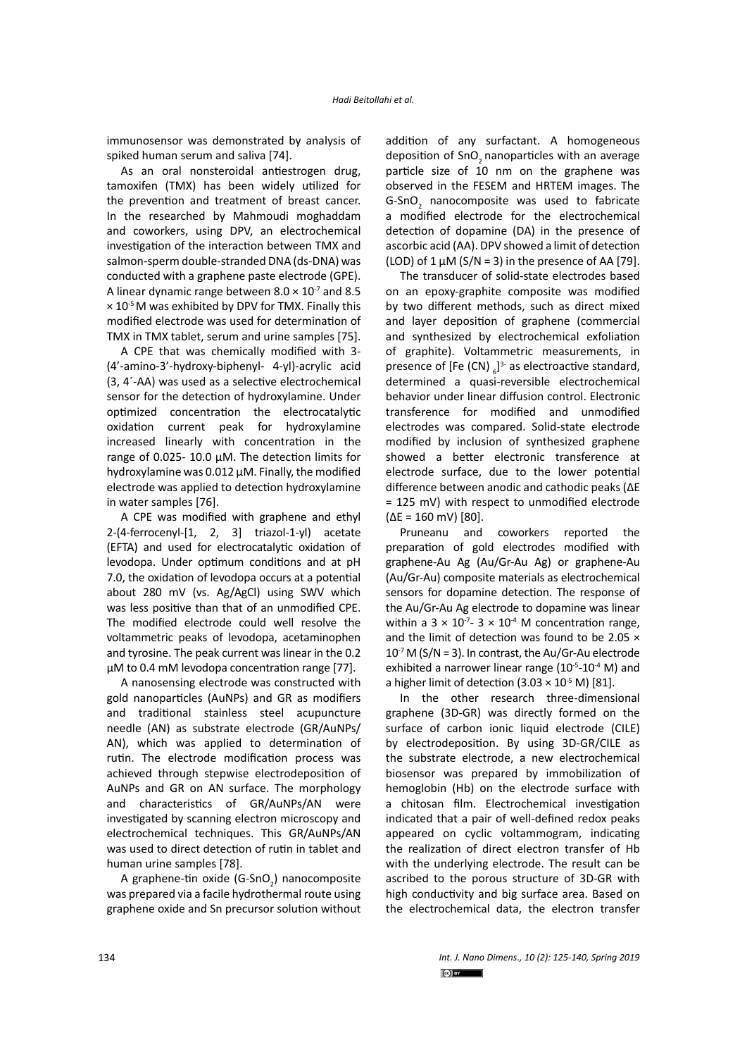immunosensor was demonstrated by analysis of spiked human serum and saliva [74].

As an oral nonsteroidal antiestrogen drug, tamoxifen (TMX) has been widely utilized for the prevention and treatment of breast cancer. In the researched by Mahmoudi moghaddam and coworkers, using DPV, an electrochemical investigation of the interaction between TMX and salmon-sperm double-stranded DNA (ds-DNA) was conducted with a graphene paste electrode (GPE). A linear dynamic range between  $8.0 \times 10^{-7}$  and 8.5  $\times$  10<sup>-5</sup> M was exhibited by DPV for TMX. Finally this modified electrode was used for determination of TMX in TMX tablet, serum and urine samples [75].

A CPE that was chemically modified with 3- (4'-amino-3'-hydroxy-biphenyl- 4-yl)-acrylic acid (3, 4´-AA) was used as a selective electrochemical sensor for the detection of hydroxylamine. Under optimized concentration the electrocatalytic oxidation current peak for hydroxylamine increased linearly with concentration in the range of 0.025- 10.0 μM. The detection limits for hydroxylamine was 0.012 μM. Finally, the modified electrode was applied to detection hydroxylamine in water samples [76].

A CPE was modified with graphene and ethyl 2-(4-ferrocenyl-[1, 2, 3] triazol-1-yl) acetate (EFTA) and used for electrocatalytic oxidation of levodopa. Under optimum conditions and at pH 7.0, the oxidation of levodopa occurs at a potential about 280 mV (vs. Ag/AgCl) using SWV which was less positive than that of an unmodified CPE. The modified electrode could well resolve the voltammetric peaks of levodopa, acetaminophen and tyrosine. The peak current was linear in the 0.2 μM to 0.4 mM levodopa concentration range [77].

A nanosensing electrode was constructed with gold nanoparticles (AuNPs) and GR as modifiers and traditional stainless steel acupuncture needle (AN) as substrate electrode (GR/AuNPs/ AN), which was applied to determination of rutin. The electrode modification process was achieved through stepwise electrodeposition of AuNPs and GR on AN surface. The morphology and characteristics of GR/AuNPs/AN were investigated by scanning electron microscopy and electrochemical techniques. This GR/AuNPs/AN was used to direct detection of rutin in tablet and human urine samples [78].

A graphene-tin oxide (G-SnO<sub>2</sub>) nanocomposite was prepared via a facile hydrothermal route using graphene oxide and Sn precursor solution without

addition of any surfactant. A homogeneous deposition of SnO<sub>2</sub> nanoparticles with an average particle size of 10 nm on the graphene was observed in the FESEM and HRTEM images. The G-SnO<sub>2</sub> nanocomposite was used to fabricate a modified electrode for the electrochemical detection of dopamine (DA) in the presence of ascorbic acid (AA). DPV showed a limit of detection (LOD) of 1  $\mu$ M (S/N = 3) in the presence of AA [79].

The transducer of solid-state electrodes based on an epoxy-graphite composite was modified by two different methods, such as direct mixed and layer deposition of graphene (commercial and synthesized by electrochemical exfoliation of graphite). Voltammetric measurements, in presence of [Fe (CN)  $_6$ ]<sup>3-</sup> as electroactive standard, determined a quasi-reversible electrochemical behavior under linear diffusion control. Electronic transference for modified and unmodified electrodes was compared. Solid-state electrode modified by inclusion of synthesized graphene showed a better electronic transference at electrode surface, due to the lower potential difference between anodic and cathodic peaks (ΔE = 125 mV) with respect to unmodified electrode (ΔE = 160 mV) [80].

Pruneanu and coworkers reported the preparation of gold electrodes modified with graphene-Au Ag (Au/Gr-Au Ag) or graphene-Au (Au/Gr-Au) composite materials as electrochemical sensors for dopamine detection. The response of the Au/Gr-Au Ag electrode to dopamine was linear within a  $3 \times 10^{-7}$ -  $3 \times 10^{-4}$  M concentration range, and the limit of detection was found to be 2.05 ×  $10^{-7}$  M (S/N = 3). In contrast, the Au/Gr-Au electrode exhibited a narrower linear range  $(10^{-5}-10^{-4}$  M) and a higher limit of detection  $(3.03 \times 10^{-5} \text{ M})$  [81].

In the other research three-dimensional graphene (3D-GR) was directly formed on the surface of carbon ionic liquid electrode (CILE) by electrodeposition. By using 3D-GR/CILE as the substrate electrode, a new electrochemical biosensor was prepared by immobilization of hemoglobin (Hb) on the electrode surface with a chitosan film. Electrochemical investigation indicated that a pair of well-defined redox peaks appeared on cyclic voltammogram, indicating the realization of direct electron transfer of Hb with the underlying electrode. The result can be ascribed to the porous structure of 3D-GR with high conductivity and big surface area. Based on the electrochemical data, the electron transfer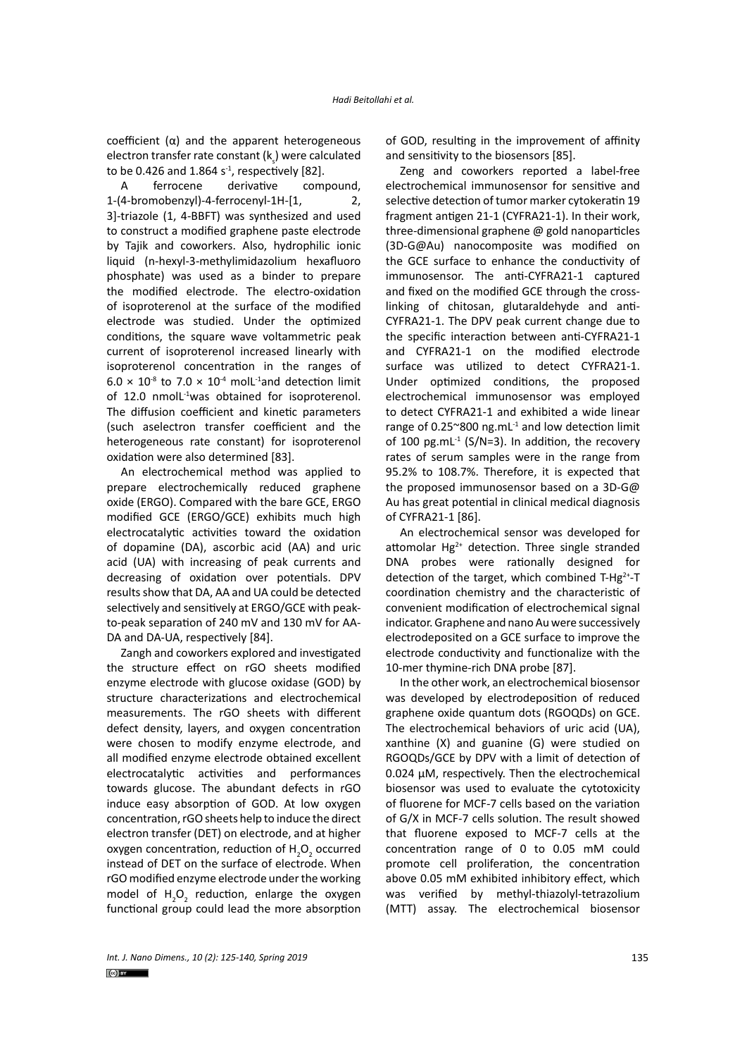coefficient (α) and the apparent heterogeneous electron transfer rate constant ( $\mathsf{k}_\varsigma$ ) were calculated to be 0.426 and 1.864  $s<sup>-1</sup>$ , respectively [82].

A ferrocene derivative compound, 1-(4-bromobenzyl)-4-ferrocenyl-1H-[1, 2, 3]-triazole (1, 4-BBFT) was synthesized and used to construct a modified graphene paste electrode by Tajik and coworkers. Also, hydrophilic ionic liquid (n-hexyl-3-methylimidazolium hexafluoro phosphate) was used as a binder to prepare the modified electrode. The electro-oxidation of isoproterenol at the surface of the modified electrode was studied. Under the optimized conditions, the square wave voltammetric peak current of isoproterenol increased linearly with isoproterenol concentration in the ranges of  $6.0 \times 10^{3}$  to 7.0  $\times$  10<sup>-4</sup> molL<sup>-1</sup>and detection limit of 12.0 nmoll<sup>-1</sup>was obtained for isoproterenol. The diffusion coefficient and kinetic parameters (such aselectron transfer coefficient and the heterogeneous rate constant) for isoproterenol oxidation were also determined [83].

An electrochemical method was applied to prepare electrochemically reduced graphene oxide (ERGO). Compared with the bare GCE, ERGO modified GCE (ERGO/GCE) exhibits much high electrocatalytic activities toward the oxidation of dopamine (DA), ascorbic acid (AA) and uric acid (UA) with increasing of peak currents and decreasing of oxidation over potentials. DPV results show that DA, AA and UA could be detected selectively and sensitively at ERGO/GCE with peakto-peak separation of 240 mV and 130 mV for AA-DA and DA-UA, respectively [84].

Zangh and coworkers explored and investigated the structure effect on rGO sheets modified enzyme electrode with glucose oxidase (GOD) by structure characterizations and electrochemical measurements. The rGO sheets with different defect density, layers, and oxygen concentration were chosen to modify enzyme electrode, and all modified enzyme electrode obtained excellent electrocatalytic activities and performances towards glucose. The abundant defects in rGO induce easy absorption of GOD. At low oxygen concentration, rGO sheets help to induce the direct electron transfer (DET) on electrode, and at higher oxygen concentration, reduction of  $H_2O_2$  occurred instead of DET on the surface of electrode. When rGO modified enzyme electrode under the working model of  $H_2O_2$  reduction, enlarge the oxygen functional group could lead the more absorption

of GOD, resulting in the improvement of affinity and sensitivity to the biosensors [85].

Zeng and coworkers reported a label-free electrochemical immunosensor for sensitive and selective detection of tumor marker cytokeratin 19 fragment antigen 21-1 (CYFRA21-1). In their work, three-dimensional graphene @ gold nanoparticles (3D-G@Au) nanocomposite was modified on the GCE surface to enhance the conductivity of immunosensor. The anti-CYFRA21-1 captured and fixed on the modified GCE through the crosslinking of chitosan, glutaraldehyde and anti-CYFRA21-1. The DPV peak current change due to the specific interaction between anti-CYFRA21-1 and CYFRA21-1 on the modified electrode surface was utilized to detect CYFRA21-1. Under optimized conditions, the proposed electrochemical immunosensor was employed to detect CYFRA21-1 and exhibited a wide linear range of  $0.25^{\circ}800$  ng.mL $^{-1}$  and low detection limit of 100 pg.mL $^{-1}$  (S/N=3). In addition, the recovery rates of serum samples were in the range from 95.2% to 108.7%. Therefore, it is expected that the proposed immunosensor based on a 3D-G@ Au has great potential in clinical medical diagnosis of CYFRA21-1 [86].

An electrochemical sensor was developed for attomolar  $Hg^{2+}$  detection. Three single stranded DNA probes were rationally designed for detection of the target, which combined T-Hg<sup>2+</sup>-T coordination chemistry and the characteristic of convenient modification of electrochemical signal indicator. Graphene and nano Au were successively electrodeposited on a GCE surface to improve the electrode conductivity and functionalize with the 10-mer thymine-rich DNA probe [87].

In the other work, an electrochemical biosensor was developed by electrodeposition of reduced graphene oxide quantum dots (RGOQDs) on GCE. The electrochemical behaviors of uric acid (UA), xanthine (X) and guanine (G) were studied on RGOQDs/GCE by DPV with a limit of detection of 0.024 μM, respectively. Then the electrochemical biosensor was used to evaluate the cytotoxicity of fluorene for MCF-7 cells based on the variation of G/X in MCF-7 cells solution. The result showed that fluorene exposed to MCF-7 cells at the concentration range of 0 to 0.05 mM could promote cell proliferation, the concentration above 0.05 mM exhibited inhibitory effect, which was verified by methyl-thiazolyl-tetrazolium (MTT) assay. The electrochemical biosensor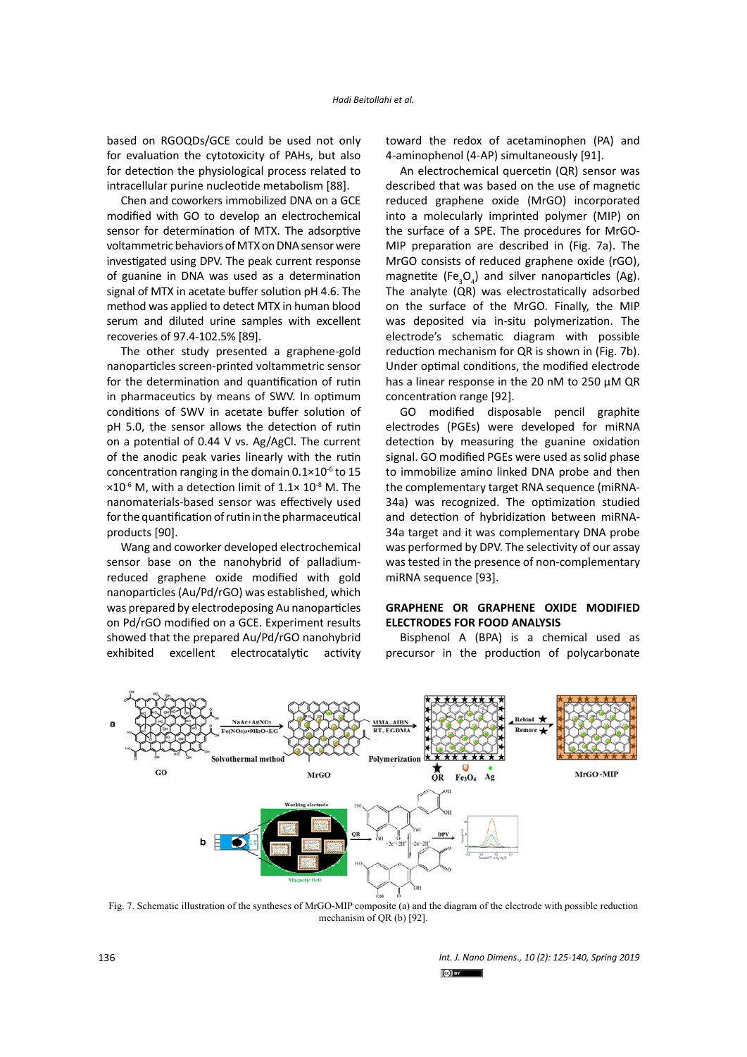based on RGOQDs/GCE could be used not only for evaluation the cytotoxicity of PAHs, but also for detection the physiological process related to intracellular purine nucleotide metabolism [88].

Chen and coworkers immobilized DNA on a GCE modified with GO to develop an electrochemical sensor for determination of MTX. The adsorptive voltammetric behaviors of MTX on DNA sensor were investigated using DPV. The peak current response of guanine in DNA was used as a determination signal of MTX in acetate buffer solution pH 4.6. The method was applied to detect MTX in human blood serum and diluted urine samples with excellent recoveries of 97.4-102.5% [89].

The other study presented a graphene-gold nanoparticles screen-printed voltammetric sensor for the determination and quantification of rutin in pharmaceutics by means of SWV. In optimum conditions of SWV in acetate buffer solution of pH 5.0, the sensor allows the detection of rutin on a potential of 0.44 V vs. Ag/AgCl. The current of the anodic peak varies linearly with the rutin concentration ranging in the domain  $0.1 \times 10^{-6}$  to 15  $\times 10^{-6}$  M, with a detection limit of 1.1 $\times$  10<sup>-8</sup> M. The nanomaterials-based sensor was effectively used for the quantification of rutin in the pharmaceutical products [90].

Wang and coworker developed electrochemical sensor base on the nanohybrid of palladiumreduced graphene oxide modified with gold nanoparticles (Au/Pd/rGO) was established, which was prepared by electrodeposing Au nanoparticles on Pd/rGO modified on a GCE. Experiment results showed that the prepared Au/Pd/rGO nanohybrid exhibited excellent electrocatalytic activity toward the redox of acetaminophen (PA) and 4-aminophenol (4-AP) simultaneously [91].

An electrochemical quercetin (QR) sensor was described that was based on the use of magnetic reduced graphene oxide (MrGO) incorporated into a molecularly imprinted polymer (MIP) on the surface of a SPE. The procedures for MrGO-MIP preparation are described in (Fig. 7a). The MrGO consists of reduced graphene oxide (rGO), magnetite (Fe<sub>3</sub>O<sub>4</sub>) and silver nanoparticles (Ag). The analyte (QR) was electrostatically adsorbed on the surface of the MrGO. Finally, the MIP was deposited via in-situ polymerization. The electrode's schematic diagram with possible reduction mechanism for QR is shown in (Fig. 7b). Under optimal conditions, the modified electrode has a linear response in the 20 nM to 250 μM QR concentration range [92].

GO modified disposable pencil graphite electrodes (PGEs) were developed for miRNA detection by measuring the guanine oxidation signal. GO modified PGEs were used as solid phase to immobilize amino linked DNA probe and then the complementary target RNA sequence (miRNA-34a) was recognized. The optimization studied and detection of hybridization between miRNA-34a target and it was complementary DNA probe was performed by DPV. The selectivity of our assay was tested in the presence of non-complementary miRNA sequence [93].

# **GRAPHENE OR GRAPHENE OXIDE MODIFIED ELECTRODES FOR FOOD ANALYSIS**

Bisphenol A (BPA) is a chemical used as precursor in the production of polycarbonate



Fig. 7. Schematic illustration of the syntheses of MrGO-MIP composite (a) and the diagram of the electrode with possible reduction mechanism of QR (b) [92].

*Int. J. Nano Dimens., 10 (2): 125-140, Spring 2019* the electrode with possible reduction mechanism of QR (b) [92].  $\left[\odot\right]$  by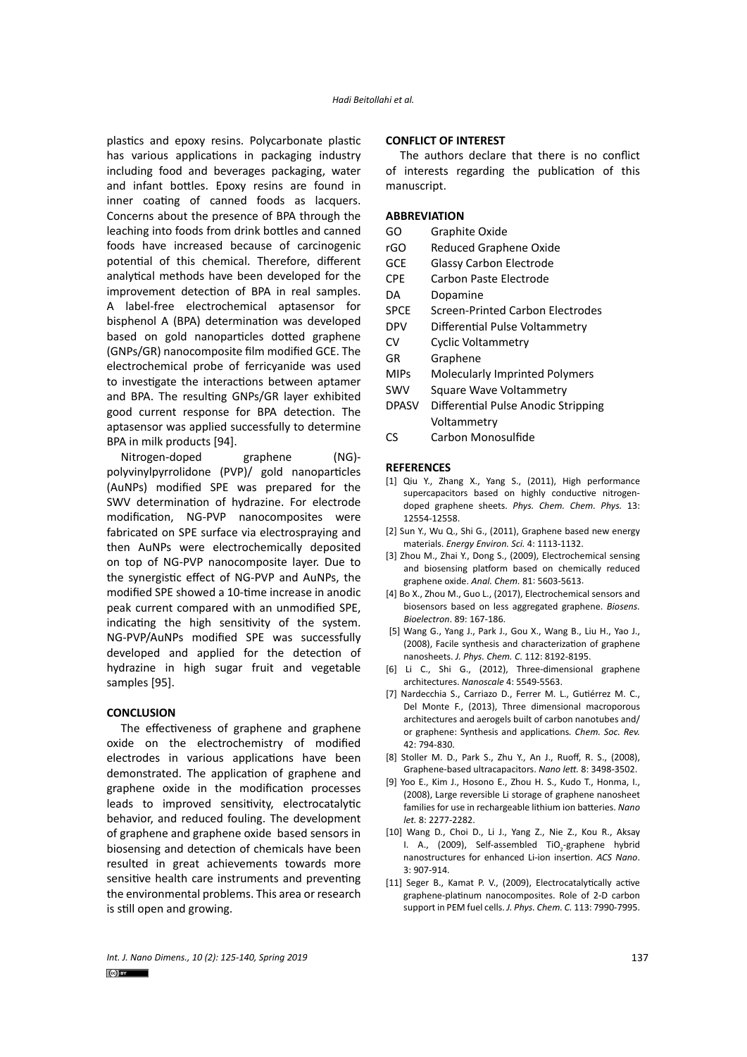plastics and epoxy resins. Polycarbonate plastic has various applications in packaging industry including food and beverages packaging, water and infant bottles. Epoxy resins are found in inner coating of canned foods as lacquers. Concerns about the presence of BPA through the leaching into foods from drink bottles and canned foods have increased because of carcinogenic potential of this chemical. Therefore, different analytical methods have been developed for the improvement detection of BPA in real samples. A label-free electrochemical aptasensor for bisphenol A (BPA) determination was developed based on gold nanoparticles dotted graphene (GNPs/GR) nanocomposite film modified GCE. The electrochemical probe of ferricyanide was used to investigate the interactions between aptamer and BPA. The resulting GNPs/GR layer exhibited good current response for BPA detection. The aptasensor was applied successfully to determine BPA in milk products [94].

Nitrogen-doped graphene (NG) polyvinylpyrrolidone (PVP)/ gold nanoparticles (AuNPs) modified SPE was prepared for the SWV determination of hydrazine. For electrode modification, NG-PVP nanocomposites were fabricated on SPE surface via electrospraying and then AuNPs were electrochemically deposited on top of NG-PVP nanocomposite layer. Due to the synergistic effect of NG-PVP and AuNPs, the modified SPE showed a 10-time increase in anodic peak current compared with an unmodified SPE, indicating the high sensitivity of the system. NG-PVP/AuNPs modified SPE was successfully developed and applied for the detection of hydrazine in high sugar fruit and vegetable samples [95].

#### **CONCLUSION**

The effectiveness of graphene and graphene oxide on the electrochemistry of modified electrodes in various applications have been demonstrated. The application of graphene and graphene oxide in the modification processes leads to improved sensitivity, electrocatalytic behavior, and reduced fouling. The development of graphene and graphene oxide based sensors in biosensing and detection of chemicals have been resulted in great achievements towards more sensitive health care instruments and preventing the environmental problems. This area or research is still open and growing.

#### **CONFLICT OF INTEREST**

The authors declare that there is no conflict of interests regarding the publication of this manuscript.

### **ABBREVIATION**

- GO Graphite Oxide
- rGO Reduced Graphene Oxide
- GCE Glassy Carbon Electrode
- CPE Carbon Paste Electrode
- DA Dopamine
- SPCE Screen-Printed Carbon Electrodes
- DPV Differential Pulse Voltammetry
- CV Cyclic Voltammetry
- GR Graphene
- MIPs Molecularly Imprinted Polymers
- SWV Square Wave Voltammetry
- DPASV Differential Pulse Anodic Stripping Voltammetry
- CS Carbon Monosulfide

#### **REFERENCES**

- [1] Qiu Y., Zhang X., Yang S., (2011), High performance supercapacitors based on highly conductive nitrogendoped graphene sheets. *Phys. Chem. Chem. Phys.* 13: 12554-12558.
- [2] Sun Y., Wu Q., Shi G., (2011), Graphene based new energy materials. *Energy Environ. Sci.* 4: 1113-1132.
- [3] Zhou M., Zhai Y., Dong S., (2009), Electrochemical sensing and biosensing platform based on chemically reduced graphene oxide. *Anal. Chem.* 81: 5603-5613.
- [4] Bo X., Zhou M., Guo L., (2017), Electrochemical sensors and biosensors based on less aggregated graphene. *Biosens. Bioelectron*. 89: 167-186.
- [5] Wang G., Yang J., Park J., Gou X., Wang B., Liu H., Yao J., (2008), Facile synthesis and characterization of graphene nanosheets. *J. Phys. Chem. C*. 112: 8192-8195.
- [6] Li C., Shi G., (2012), Three-dimensional graphene architectures. *Nanoscale* 4: 5549-5563.
- [7] Nardecchia S., Carriazo D., Ferrer M. L., Gutiérrez M. C., Del Monte F., (2013), Three dimensional macroporous architectures and aerogels built of carbon nanotubes and/ or graphene: Synthesis and applications*. Chem. Soc. Rev.* 42: 794-830.
- [8] Stoller M. D., Park S., Zhu Y., An J., Ruoff, R. S., (2008), Graphene-based ultracapacitors. *Nano lett.* 8: 3498-3502.
- [9] Yoo E., Kim J., Hosono E., Zhou H. S., Kudo T., Honma, I., (2008), Large reversible Li storage of graphene nanosheet families for use in rechargeable lithium ion batteries. *Nano let.* 8: 2277-2282.
- [10] Wang D., Choi D., Li J., Yang Z., Nie Z., Kou R., Aksay I. A., (2009), Self-assembled TiO<sub>2</sub>-graphene hybrid nanostructures for enhanced Li-ion insertion. *ACS Nano*. 3: 907-914.
- [11] Seger B., Kamat P. V., (2009), Electrocatalytically active graphene-platinum nanocomposites. Role of 2-D carbon support in PEM fuel cells. *J. Phys. Chem. C.* 113: 7990-7995.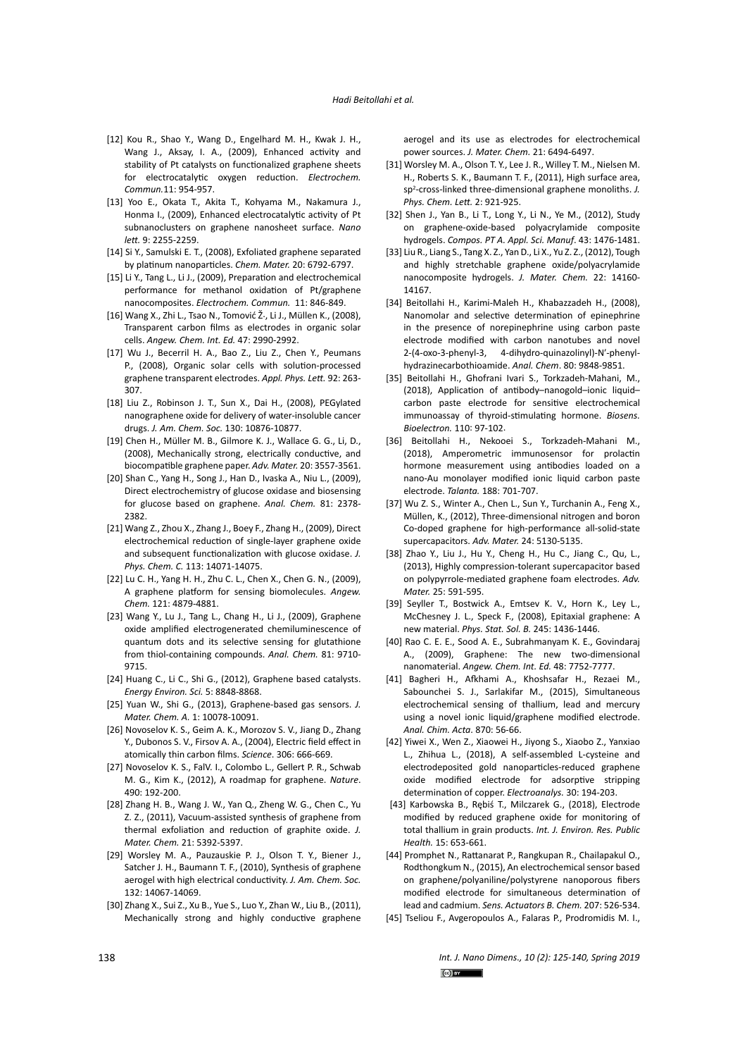- [12] Kou R., Shao Y., Wang D., Engelhard M. H., Kwak J. H., Wang J., Aksay, I. A., (2009), Enhanced activity and stability of Pt catalysts on functionalized graphene sheets for electrocatalytic oxygen reduction. *Electrochem. Commun.*11: 954-957.
- [13] Yoo E., Okata T., Akita T., Kohyama M., Nakamura J., Honma I., (2009), Enhanced electrocatalytic activity of Pt subnanoclusters on graphene nanosheet surface. *Nano lett.* 9: 2255-2259.
- [14] Si Y., Samulski E. T., (2008), Exfoliated graphene separated by platinum nanoparticles. *Chem. Mater.* 20: 6792-6797.
- [15] Li Y., Tang L., Li J., (2009), Preparation and electrochemical performance for methanol oxidation of Pt/graphene nanocomposites. *Electrochem. Commun.* 11: 846-849.
- [16] Wang X., Zhi L., Tsao N., Tomović Ž., Li J., Müllen K., (2008), Transparent carbon films as electrodes in organic solar cells. *Angew. Chem. Int. Ed.* 47: 2990-2992.
- [17] Wu J., Becerril H. A., Bao Z., Liu Z., Chen Y., Peumans P., (2008), Organic solar cells with solution-processed graphene transparent electrodes. *Appl. Phys. Lett.* 92: 263- 307.
- [18] Liu Z., Robinson J. T., Sun X., Dai H., (2008), PEGylated nanographene oxide for delivery of water-insoluble cancer drugs. *J. Am. Chem. Soc.* 130: 10876-10877.
- [19] Chen H., Müller M. B., Gilmore K. J., Wallace G. G., Li, D., (2008), Mechanically strong, electrically conductive, and biocompatible graphene paper. *Adv. Mater.* 20: 3557-3561.
- [20] Shan C., Yang H., Song J., Han D., Ivaska A., Niu L., (2009), Direct electrochemistry of glucose oxidase and biosensing for glucose based on graphene. *Anal. Chem.* 81: 2378- 2382.
- [21] Wang Z., Zhou X., Zhang J., Boey F., Zhang H., (2009), Direct electrochemical reduction of single-layer graphene oxide and subsequent functionalization with glucose oxidase. *J. Phys. Chem. C.* 113: 14071-14075.
- [22] Lu C. H., Yang H. H., Zhu C. L., Chen X., Chen G. N., (2009), A graphene platform for sensing biomolecules. *Angew. Chem.* 121: 4879-4881.
- [23] Wang Y., Lu J., Tang L., Chang H., Li J., (2009), Graphene oxide amplified electrogenerated chemiluminescence of quantum dots and its selective sensing for glutathione from thiol-containing compounds. *Anal. Chem.* 81: 9710- 9715.
- [24] Huang C., Li C., Shi G., (2012), Graphene based catalysts. *Energy Environ. Sci.* 5: 8848-8868.
- [25] Yuan W., Shi G., (2013), Graphene-based gas sensors. *J. Mater. Chem. A.* 1: 10078-10091.
- [26] Novoselov K. S., Geim A. K., Morozov S. V., Jiang D., Zhang Y., Dubonos S. V., Firsov A. A., (2004), Electric field effect in atomically thin carbon films. *Science*. 306: 666-669.
- [27] Novoselov K. S., FalV. I., Colombo L., Gellert P. R., Schwab M. G., Kim K., (2012), A roadmap for graphene. *Nature*. 490: 192-200.
- [28] Zhang H. B., Wang J. W., Yan Q., Zheng W. G., Chen C., Yu Z. Z., (2011), Vacuum-assisted synthesis of graphene from thermal exfoliation and reduction of graphite oxide. *J. Mater. Chem.* 21: 5392-5397.
- [29] Worsley M. A., Pauzauskie P. J., Olson T. Y., Biener J., Satcher J. H., Baumann T. F., (2010), Synthesis of graphene aerogel with high electrical conductivity. *J. Am. Chem. Soc.* 132: 14067-14069.
- [30] Zhang X., Sui Z., Xu B., Yue S., Luo Y., Zhan W., Liu B., (2011), Mechanically strong and highly conductive graphene

aerogel and its use as electrodes for electrochemical power sources. *J. Mater. Chem.* 21: 6494-6497.

- [31] Worsley M. A., Olson T. Y., Lee J. R., Willey T. M., Nielsen M. H., Roberts S. K., Baumann T. F., (2011), High surface area, sp2 -cross-linked three-dimensional graphene monoliths. *J. Phys. Chem. Lett.* 2: 921-925.
- [32] Shen J., Yan B., Li T., Long Y., Li N., Ye M., (2012), Study on graphene-oxide-based polyacrylamide composite hydrogels. *Compos. PT A. Appl. Sci. Manuf*. 43: 1476-1481.
- [33] Liu R., Liang S., Tang X. Z., Yan D., Li X., Yu Z. Z., (2012), Tough and highly stretchable graphene oxide/polyacrylamide nanocomposite hydrogels. *J. Mater. Chem.* 22: 14160- 14167.
- [34] Beitollahi H., Karimi-Maleh H., Khabazzadeh H., (2008), Nanomolar and selective determination of epinephrine in the presence of norepinephrine using carbon paste electrode modified with carbon nanotubes and novel 2-(4-oxo-3-phenyl-3, 4-dihydro-quinazolinyl)-N′-phenylhydrazinecarbothioamide. *Anal. Chem*. 80: 9848-9851.
- [35] Beitollahi H., Ghofrani Ivari S., Torkzadeh-Mahani, M., (2018), Application of antibody–nanogold–ionic liquid– carbon paste electrode for sensitive electrochemical immunoassay of thyroid-stimulating hormone. *Biosens. Bioelectron.* 110: 97-102.
- [36] Beitollahi H., Nekooei S., Torkzadeh-Mahani M., (2018), Amperometric immunosensor for prolactin hormone measurement using antibodies loaded on a nano-Au monolayer modified ionic liquid carbon paste electrode. *Talanta.* 188: 701-707.
- [37] Wu Z. S., Winter A., Chen L., Sun Y., Turchanin A., Feng X., Müllen, K., (2012), Three‐dimensional nitrogen and boron Co‐doped graphene for high‐performance all‐solid‐state supercapacitors. *Adv. Mater.* 24: 5130-5135.
- [38] Zhao Y., Liu J., Hu Y., Cheng H., Hu C., Jiang C., Qu, L., (2013), Highly compression-tolerant supercapacitor based on polypyrrole‐mediated graphene foam electrodes. *Adv. Mater.* 25: 591-595.
- [39] Seyller T., Bostwick A., Emtsev K. V., Horn K., Ley L., McChesney J. L., Speck F., (2008), Epitaxial graphene: A new material. *Phys. Stat. Sol. B.* 245: 1436-1446.
- [40] Rao C. E. E., Sood A. E., Subrahmanyam K. E., Govindaraj A., (2009), Graphene: The new two-dimensional nanomaterial. *Angew. Chem. Int. Ed.* 48: 7752-7777.
- [41] Bagheri H., Afkhami A., Khoshsafar H., Rezaei M., Sabounchei S. J., Sarlakifar M., (2015), Simultaneous electrochemical sensing of thallium, lead and mercury using a novel ionic liquid/graphene modified electrode. *Anal. Chim. Acta*. 870: 56-66.
- [42] Yiwei X., Wen Z., Xiaowei H., Jiyong S., Xiaobo Z., Yanxiao L., Zhihua L., (2018), A self‐assembled L‐cysteine and electrodeposited gold nanoparticles‐reduced graphene oxide modified electrode for adsorptive stripping determination of copper. *Electroanalys.* 30: 194-203.
- [43] Karbowska B., Rębiś T., Milczarek G., (2018), Electrode modified by reduced graphene oxide for monitoring of total thallium in grain products. *Int. J. Environ. Res. Public Health.* 15: 653-661.
- [44] Promphet N., Rattanarat P., Rangkupan R., Chailapakul O., Rodthongkum N., (2015), An electrochemical sensor based on graphene/polyaniline/polystyrene nanoporous fibers modified electrode for simultaneous determination of lead and cadmium. *Sens. Actuators B. Chem.* 207: 526-534.
- [45] Tseliou F., Avgeropoulos A., Falaras P., Prodromidis M. I.,

*Int. J. Nano Dimens., 10 (2): 125-140, Spring 2019*  $\lbrack \text{a} \rbrack$  by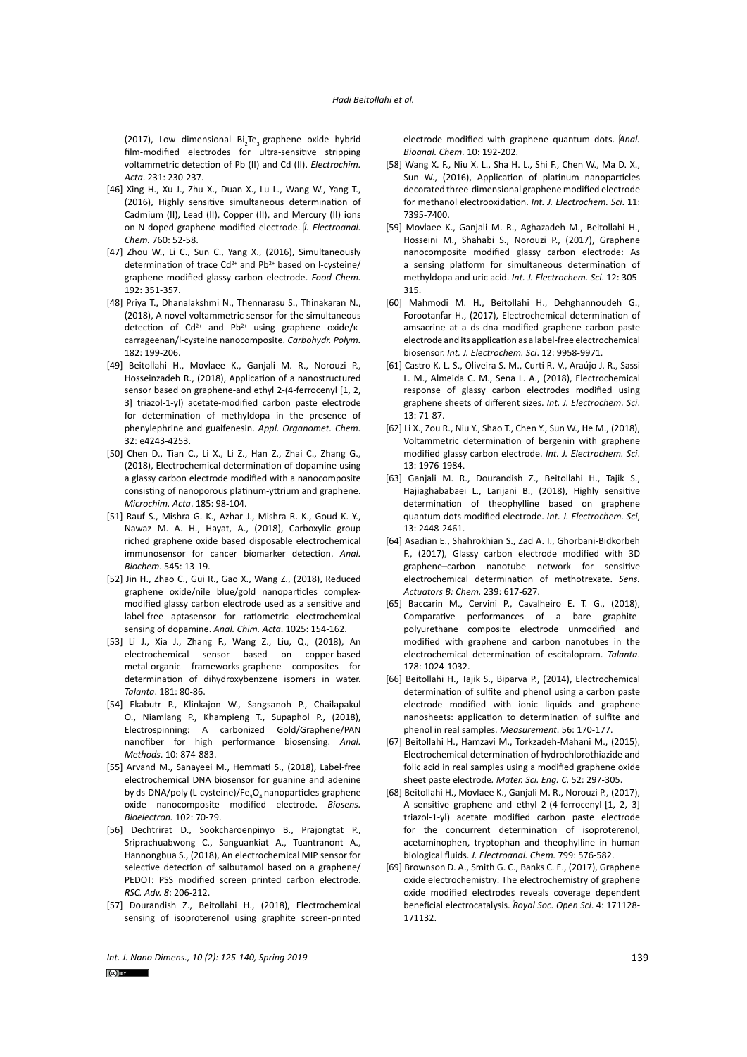(2017), Low dimensional Bi<sub>2</sub>Te<sub>3</sub>-graphene oxide hybrid film-modified electrodes for ultra-sensitive stripping voltammetric detection of Pb (II) and Cd (II). *Electrochim. Acta*. 231: 230-237.

- [46] Xing H., Xu J., Zhu X., Duan X., Lu L., Wang W., Yang T., (2016), Highly sensitive simultaneous determination of Cadmium (II), Lead (II), Copper (II), and Mercury (II) ions on N-doped graphene modified electrode. *J. Electroanal. Chem.* 760: 52-58.
- [47] Zhou W., Li C., Sun C., Yang X., (2016), Simultaneously determination of trace  $Cd^{2+}$  and  $Pb^{2+}$  based on l-cysteine/ graphene modified glassy carbon electrode. *Food Chem.* 192: 351-357.
- [48] Priya T., Dhanalakshmi N., Thennarasu S., Thinakaran N., (2018), A novel voltammetric sensor for the simultaneous detection of  $Cd^{2+}$  and  $Pb^{2+}$  using graphene oxide/ $\kappa$ carrageenan/l-cysteine nanocomposite. *Carbohydr. Polym.* 182: 199-206.
- [49] Beitollahi H., Movlaee K., Ganjali M. R., Norouzi P., Hosseinzadeh R., (2018), Application of a nanostructured sensor based on graphene-and ethyl 2-(4-ferrocenyl [1, 2, 3] triazol‐1‐yl) acetate‐modified carbon paste electrode for determination of methyldopa in the presence of phenylephrine and guaifenesin. *Appl. Organomet. Chem.* 32: e4243-4253.
- [50] Chen D., Tian C., Li X., Li Z., Han Z., Zhai C., Zhang G., (2018), Electrochemical determination of dopamine using a glassy carbon electrode modified with a nanocomposite consisting of nanoporous platinum-yttrium and graphene. *Microchim. Acta*. 185: 98-104.
- [51] Rauf S., Mishra G. K., Azhar J., Mishra R. K., Goud K. Y., Nawaz M. A. H., Hayat, A., (2018), Carboxylic group riched graphene oxide based disposable electrochemical immunosensor for cancer biomarker detection. *Anal. Biochem*. 545: 13-19.
- [52] Jin H., Zhao C., Gui R., Gao X., Wang Z., (2018), Reduced graphene oxide/nile blue/gold nanoparticles complexmodified glassy carbon electrode used as a sensitive and label-free aptasensor for ratiometric electrochemical sensing of dopamine. *Anal. Chim. Acta*. 1025: 154-162.
- [53] Li J., Xia J., Zhang F., Wang Z., Liu, Q., (2018), An electrochemical sensor based on copper-based metal-organic frameworks-graphene composites for determination of dihydroxybenzene isomers in water. *Talanta*. 181: 80-86.
- [54] Ekabutr P., Klinkajon W., Sangsanoh P., Chailapakul O., Niamlang P., Khampieng T., Supaphol P., (2018), Electrospinning: A carbonized Gold/Graphene/PAN nanofiber for high performance biosensing. *Anal. Methods*. 10: 874-883.
- [55] Arvand M., Sanayeei M., Hemmati S., (2018), Label-free electrochemical DNA biosensor for guanine and adenine by ds-DNA/poly (L-cysteine)/Fe<sub>3</sub>O<sub>4</sub> nanoparticles-graphene oxide nanocomposite modified electrode. *Biosens. Bioelectron.* 102: 70-79.
- [56] Dechtrirat D., Sookcharoenpinyo B., Prajongtat P., Sriprachuabwong C., Sanguankiat A., Tuantranont A., Hannongbua S., (2018), An electrochemical MIP sensor for selective detection of salbutamol based on a graphene/ PEDOT: PSS modified screen printed carbon electrode. *RSC. Adv. 8*: 206-212.
- [57] Dourandish Z., Beitollahi H., (2018), Electrochemical sensing of isoproterenol using graphite screen-printed

electrode modified with graphene quantum dots. *Anal. Bioanal. Chem.* 10: 192-202.

- [58] Wang X. F., Niu X. L., Sha H. L., Shi F., Chen W., Ma D. X., Sun W., (2016), Application of platinum nanoparticles decorated three-dimensional graphene modified electrode for methanol electrooxidation. *Int. J. Electrochem. Sci*. 11: 7395-7400.
- [59] Movlaee K., Ganjali M. R., Aghazadeh M., Beitollahi H., Hosseini M., Shahabi S., Norouzi P., (2017), Graphene nanocomposite modified glassy carbon electrode: As a sensing platform for simultaneous determination of methyldopa and uric acid. *Int. J. Electrochem. Sci*. 12: 305- 315.
- [60] Mahmodi M. H., Beitollahi H., Dehghannoudeh G., Forootanfar H., (2017), Electrochemical determination of amsacrine at a ds-dna modified graphene carbon paste electrode and its application as a label-free electrochemical biosensor. *Int. J. Electrochem. Sci*. 12: 9958-9971.
- [61] Castro K. L. S., Oliveira S. M., Curti R. V., Araújo J. R., Sassi L. M., Almeida C. M., Sena L. A., (2018), Electrochemical response of glassy carbon electrodes modified using graphene sheets of different sizes. *Int. J. Electrochem. Sci*. 13: 71-87.
- [62] Li X., Zou R., Niu Y., Shao T., Chen Y., Sun W., He M., (2018), Voltammetric determination of bergenin with graphene modified glassy carbon electrode. *Int. J. Electrochem. Sci*. 13: 1976-1984.
- [63] Ganjali M. R., Dourandish Z., Beitollahi H., Tajik S., Hajiaghababaei L., Larijani B., (2018), Highly sensitive determination of theophylline based on graphene quantum dots modified electrode. *Int. J. Electrochem. Sci*, 13: 2448-2461.
- [64] Asadian E., Shahrokhian S., Zad A. I., Ghorbani-Bidkorbeh F., (2017), Glassy carbon electrode modified with 3D graphene–carbon nanotube network for sensitive electrochemical determination of methotrexate. *Sens. Actuators B: Chem.* 239: 617-627.
- [65] Baccarin M., Cervini P., Cavalheiro E. T. G., (2018), Comparative performances of a bare graphitepolyurethane composite electrode unmodified and modified with graphene and carbon nanotubes in the electrochemical determination of escitalopram. *Talanta*. 178: 1024-1032.
- [66] Beitollahi H., Tajik S., Biparva P., (2014), Electrochemical determination of sulfite and phenol using a carbon paste electrode modified with ionic liquids and graphene nanosheets: application to determination of sulfite and phenol in real samples. *Measurement*. 56: 170-177.
- [67] Beitollahi H., Hamzavi M., Torkzadeh-Mahani M., (2015), Electrochemical determination of hydrochlorothiazide and folic acid in real samples using a modified graphene oxide sheet paste electrode*. Mater. Sci. Eng. C*. 52: 297-305.
- [68] Beitollahi H., Movlaee K., Ganjali M. R., Norouzi P., (2017), A sensitive graphene and ethyl 2-(4-ferrocenyl-[1, 2, 3] triazol-1-yl) acetate modified carbon paste electrode for the concurrent determination of isoproterenol, acetaminophen, tryptophan and theophylline in human biological fluids. *J. Electroanal. Chem.* 799: 576-582.
- [69] Brownson D. A., Smith G. C., Banks C. E., (2017), Graphene oxide electrochemistry: The electrochemistry of graphene oxide modified electrodes reveals coverage dependent beneficial electrocatalysis. *Royal Soc. Open Sci*. 4: 171128- 171132.

*Int. J. Nano Dimens., 10 (2): 125-140, Spring 2019* 139

 $\left[\text{CO}\right]$  by